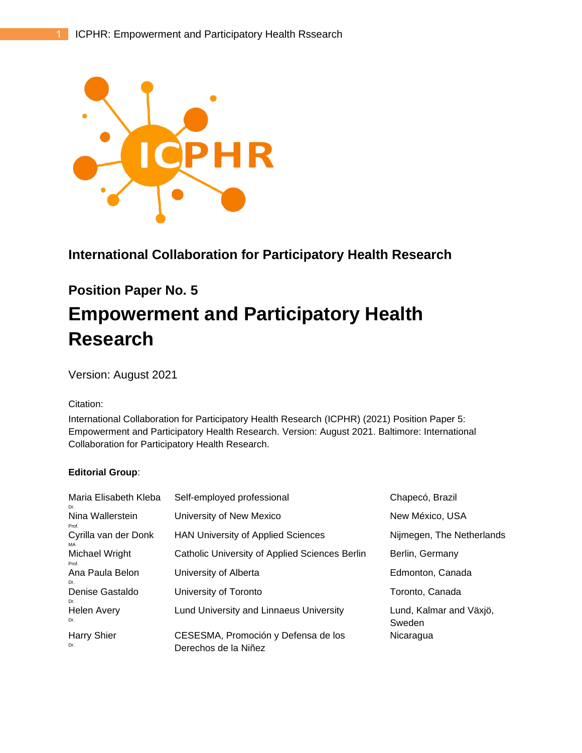

## **International Collaboration for Participatory Health Research**

# **Position Paper No. 5**

# **Empowerment and Participatory Health Research**

Version: August 2021

#### Citation:

International Collaboration for Participatory Health Research (ICPHR) (2021) Position Paper 5: Empowerment and Participatory Health Research. Version: August 2021. Baltimore: International Collaboration for Participatory Health Research.

#### **Editorial Group**:

| Maria Elisabeth Kleba<br>Dr. | Self-employed professional                                  | Chapecó, Brazil                   |
|------------------------------|-------------------------------------------------------------|-----------------------------------|
| Nina Wallerstein<br>Prof.    | University of New Mexico                                    | New México, USA                   |
| Cyrilla van der Donk<br>MA   | <b>HAN University of Applied Sciences</b>                   | Nijmegen, The Netherlands         |
| Michael Wright<br>Prof.      | Catholic University of Applied Sciences Berlin              | Berlin, Germany                   |
| Ana Paula Belon<br>Dr.       | University of Alberta                                       | Edmonton, Canada                  |
| Denise Gastaldo<br>Dr.       | University of Toronto                                       | Toronto, Canada                   |
| <b>Helen Avery</b><br>Dr.    | Lund University and Linnaeus University                     | Lund, Kalmar and Växjö,<br>Sweden |
| <b>Harry Shier</b><br>Dr.    | CESESMA, Promoción y Defensa de los<br>Derechos de la Niñez | Nicaragua                         |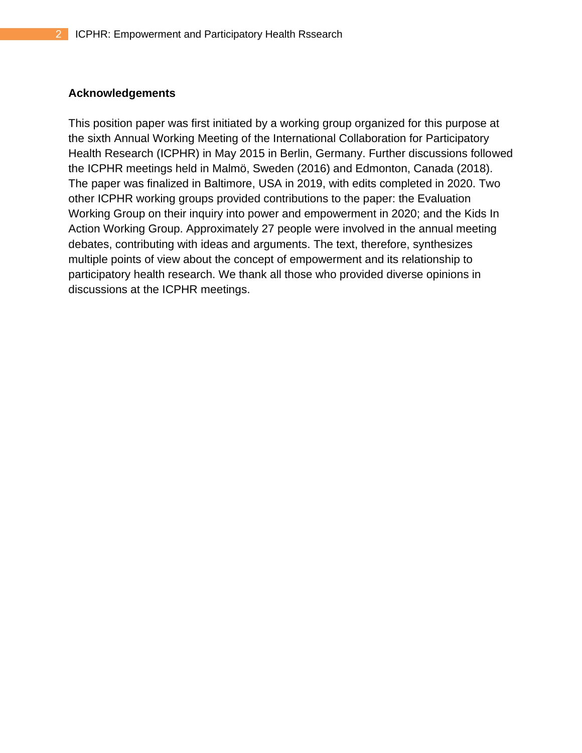#### **Acknowledgements**

This position paper was first initiated by a working group organized for this purpose at the sixth Annual Working Meeting of the International Collaboration for Participatory Health Research (ICPHR) in May 2015 in Berlin, Germany. Further discussions followed the ICPHR meetings held in Malmö, Sweden (2016) and Edmonton, Canada (2018). The paper was finalized in Baltimore, USA in 2019, with edits completed in 2020. Two other ICPHR working groups provided contributions to the paper: the Evaluation Working Group on their inquiry into power and empowerment in 2020; and the Kids In Action Working Group. Approximately 27 people were involved in the annual meeting debates, contributing with ideas and arguments. The text, therefore, synthesizes multiple points of view about the concept of empowerment and its relationship to participatory health research. We thank all those who provided diverse opinions in discussions at the ICPHR meetings.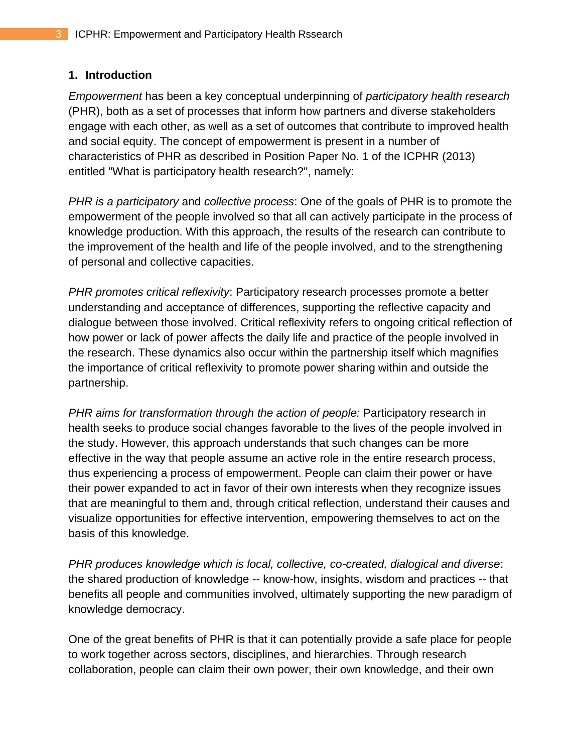## **1. Introduction**

*Empowerment* has been a key conceptual underpinning of *participatory health research* (PHR), both as a set of processes that inform how partners and diverse stakeholders engage with each other, as well as a set of outcomes that contribute to improved health and social equity. The concept of empowerment is present in a number of characteristics of PHR as described in Position Paper No. 1 of the ICPHR (2013) entitled "What is participatory health research?", namely:

*PHR is a participatory* and *collective process*: One of the goals of PHR is to promote the empowerment of the people involved so that all can actively participate in the process of knowledge production. With this approach, the results of the research can contribute to the improvement of the health and life of the people involved, and to the strengthening of personal and collective capacities.

*PHR promotes critical reflexivity*: Participatory research processes promote a better understanding and acceptance of differences, supporting the reflective capacity and dialogue between those involved. Critical reflexivity refers to ongoing critical reflection of how power or lack of power affects the daily life and practice of the people involved in the research. These dynamics also occur within the partnership itself which magnifies the importance of critical reflexivity to promote power sharing within and outside the partnership.

*PHR aims for transformation through the action of people:* Participatory research in health seeks to produce social changes favorable to the lives of the people involved in the study. However, this approach understands that such changes can be more effective in the way that people assume an active role in the entire research process, thus experiencing a process of empowerment. People can claim their power or have their power expanded to act in favor of their own interests when they recognize issues that are meaningful to them and, through critical reflection, understand their causes and visualize opportunities for effective intervention, empowering themselves to act on the basis of this knowledge.

*PHR produces knowledge which is local, collective, co-created, dialogical and diverse*: the shared production of knowledge -- know-how, insights, wisdom and practices -- that benefits all people and communities involved, ultimately supporting the new paradigm of knowledge democracy.

One of the great benefits of PHR is that it can potentially provide a safe place for people to work together across sectors, disciplines, and hierarchies. Through research collaboration, people can claim their own power, their own knowledge, and their own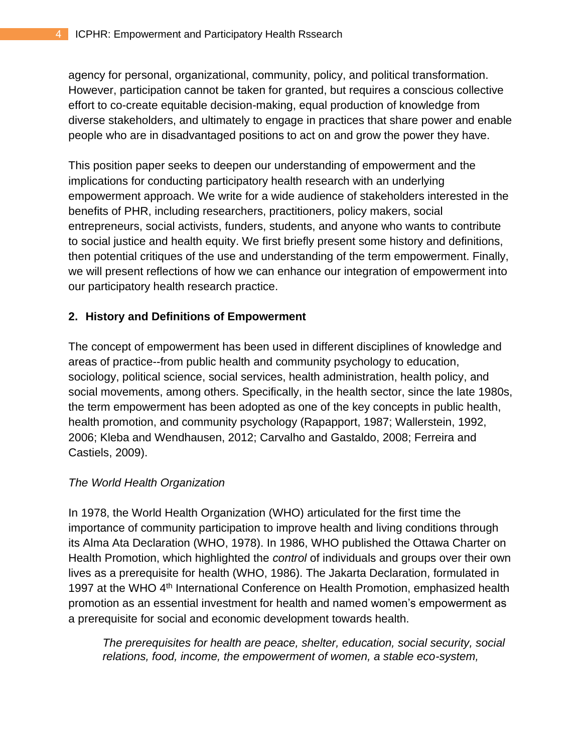agency for personal, organizational, community, policy, and political transformation. However, participation cannot be taken for granted, but requires a conscious collective effort to co-create equitable decision-making, equal production of knowledge from diverse stakeholders, and ultimately to engage in practices that share power and enable people who are in disadvantaged positions to act on and grow the power they have.

This position paper seeks to deepen our understanding of empowerment and the implications for conducting participatory health research with an underlying empowerment approach. We write for a wide audience of stakeholders interested in the benefits of PHR, including researchers, practitioners, policy makers, social entrepreneurs, social activists, funders, students, and anyone who wants to contribute to social justice and health equity. We first briefly present some history and definitions, then potential critiques of the use and understanding of the term empowerment. Finally, we will present reflections of how we can enhance our integration of empowerment into our participatory health research practice.

## **2. History and Definitions of Empowerment**

The concept of empowerment has been used in different disciplines of knowledge and areas of practice--from public health and community psychology to education, sociology, political science, social services, health administration, health policy, and social movements, among others. Specifically, in the health sector, since the late 1980s, the term empowerment has been adopted as one of the key concepts in public health, health promotion, and community psychology (Rapapport, 1987; Wallerstein, 1992, 2006; Kleba and Wendhausen, 2012; Carvalho and Gastaldo, 2008; Ferreira and Castiels, 2009).

## *The World Health Organization*

In 1978, the World Health Organization (WHO) articulated for the first time the importance of community participation to improve health and living conditions through its Alma Ata Declaration (WHO, 1978). In 1986, WHO published the Ottawa Charter on Health Promotion, which highlighted the *control* of individuals and groups over their own lives as a prerequisite for health (WHO, 1986). The Jakarta Declaration, formulated in 1997 at the WHO 4<sup>th</sup> International Conference on Health Promotion, emphasized health promotion as an essential investment for health and named women's empowerment as a prerequisite for social and economic development towards health.

*The prerequisites for health are peace, shelter, education, social security, social relations, food, income, the empowerment of women, a stable eco-system,*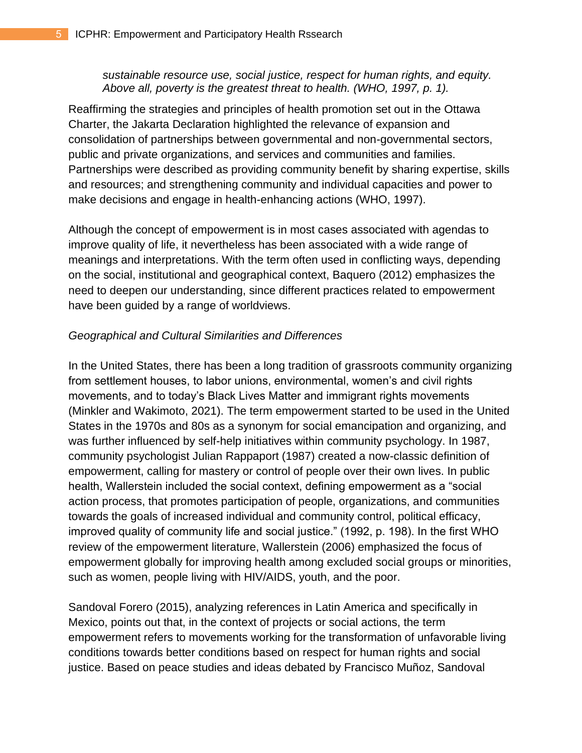*sustainable resource use, social justice, respect for human rights, and equity. Above all, poverty is the greatest threat to health. (WHO, 1997, p. 1).*

Reaffirming the strategies and principles of health promotion set out in the Ottawa Charter, the Jakarta Declaration highlighted the relevance of expansion and consolidation of partnerships between governmental and non-governmental sectors, public and private organizations, and services and communities and families. Partnerships were described as providing community benefit by sharing expertise, skills and resources; and strengthening community and individual capacities and power to make decisions and engage in health-enhancing actions (WHO, 1997).

Although the concept of empowerment is in most cases associated with agendas to improve quality of life, it nevertheless has been associated with a wide range of meanings and interpretations. With the term often used in conflicting ways, depending on the social, institutional and geographical context, Baquero (2012) emphasizes the need to deepen our understanding, since different practices related to empowerment have been guided by a range of worldviews.

#### *Geographical and Cultural Similarities and Differences*

In the United States, there has been a long tradition of grassroots community organizing from settlement houses, to labor unions, environmental, women's and civil rights movements, and to today's Black Lives Matter and immigrant rights movements (Minkler and Wakimoto, 2021). The term empowerment started to be used in the United States in the 1970s and 80s as a synonym for social emancipation and organizing, and was further influenced by self-help initiatives within community psychology. In 1987, community psychologist Julian Rappaport (1987) created a now-classic definition of empowerment, calling for mastery or control of people over their own lives. In public health, Wallerstein included the social context, defining empowerment as a "social action process, that promotes participation of people, organizations, and communities towards the goals of increased individual and community control, political efficacy, improved quality of community life and social justice." (1992, p. 198). In the first WHO review of the empowerment literature, Wallerstein (2006) emphasized the focus of empowerment globally for improving health among excluded social groups or minorities, such as women, people living with HIV/AIDS, youth, and the poor.

Sandoval Forero (2015), analyzing references in Latin America and specifically in Mexico, points out that, in the context of projects or social actions, the term empowerment refers to movements working for the transformation of unfavorable living conditions towards better conditions based on respect for human rights and social justice. Based on peace studies and ideas debated by Francisco Muñoz, Sandoval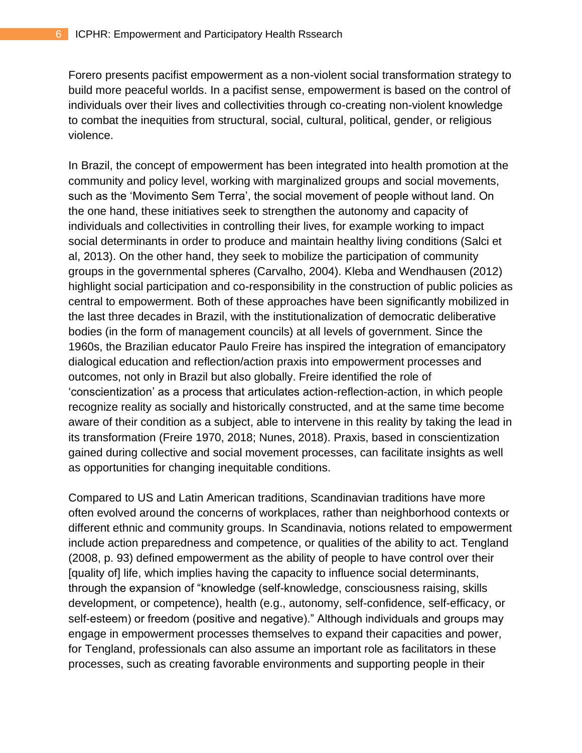Forero presents pacifist empowerment as a non-violent social transformation strategy to build more peaceful worlds. In a pacifist sense, empowerment is based on the control of individuals over their lives and collectivities through co-creating non-violent knowledge to combat the inequities from structural, social, cultural, political, gender, or religious violence.

In Brazil, the concept of empowerment has been integrated into health promotion at the community and policy level, working with marginalized groups and social movements, such as the 'Movimento Sem Terra', the social movement of people without land. On the one hand, these initiatives seek to strengthen the autonomy and capacity of individuals and collectivities in controlling their lives, for example working to impact social determinants in order to produce and maintain healthy living conditions (Salci et al, 2013). On the other hand, they seek to mobilize the participation of community groups in the governmental spheres (Carvalho, 2004). Kleba and Wendhausen (2012) highlight social participation and co-responsibility in the construction of public policies as central to empowerment. Both of these approaches have been significantly mobilized in the last three decades in Brazil, with the institutionalization of democratic deliberative bodies (in the form of management councils) at all levels of government. Since the 1960s, the Brazilian educator Paulo Freire has inspired the integration of emancipatory dialogical education and reflection/action praxis into empowerment processes and outcomes, not only in Brazil but also globally. Freire identified the role of 'conscientization' as a process that articulates action-reflection-action, in which people recognize reality as socially and historically constructed, and at the same time become aware of their condition as a subject, able to intervene in this reality by taking the lead in its transformation (Freire 1970, 2018; Nunes, 2018). Praxis, based in conscientization gained during collective and social movement processes, can facilitate insights as well as opportunities for changing inequitable conditions.

Compared to US and Latin American traditions, Scandinavian traditions have more often evolved around the concerns of workplaces, rather than neighborhood contexts or different ethnic and community groups. In Scandinavia, notions related to empowerment include action preparedness and competence, or qualities of the ability to act. Tengland (2008, p. 93) defined empowerment as the ability of people to have control over their [quality of] life, which implies having the capacity to influence social determinants, through the expansion of "knowledge (self-knowledge, consciousness raising, skills development, or competence), health (e.g., autonomy, self-confidence, self-efficacy, or self-esteem) or freedom (positive and negative)." Although individuals and groups may engage in empowerment processes themselves to expand their capacities and power, for Tengland, professionals can also assume an important role as facilitators in these processes, such as creating favorable environments and supporting people in their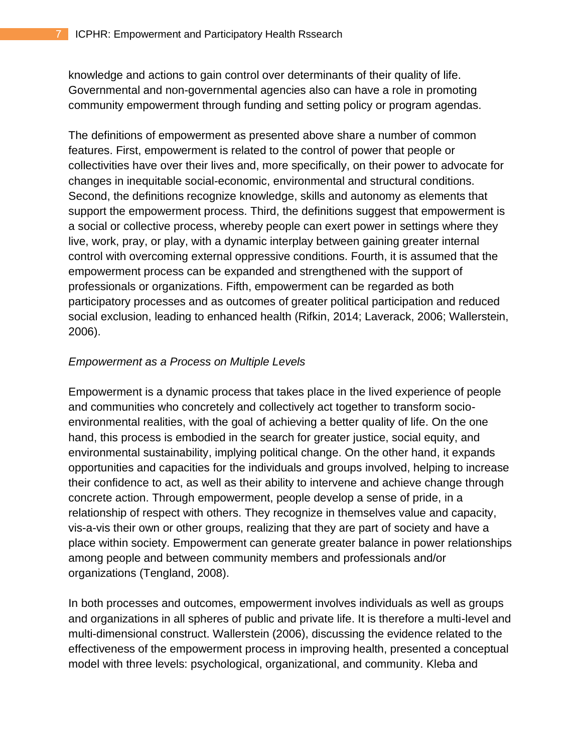knowledge and actions to gain control over determinants of their quality of life. Governmental and non-governmental agencies also can have a role in promoting community empowerment through funding and setting policy or program agendas.

The definitions of empowerment as presented above share a number of common features. First, empowerment is related to the control of power that people or collectivities have over their lives and, more specifically, on their power to advocate for changes in inequitable social-economic, environmental and structural conditions. Second, the definitions recognize knowledge, skills and autonomy as elements that support the empowerment process. Third, the definitions suggest that empowerment is a social or collective process, whereby people can exert power in settings where they live, work, pray, or play, with a dynamic interplay between gaining greater internal control with overcoming external oppressive conditions. Fourth, it is assumed that the empowerment process can be expanded and strengthened with the support of professionals or organizations. Fifth, empowerment can be regarded as both participatory processes and as outcomes of greater political participation and reduced social exclusion, leading to enhanced health (Rifkin, 2014; Laverack, 2006; Wallerstein, 2006).

#### *Empowerment as a Process on Multiple Levels*

Empowerment is a dynamic process that takes place in the lived experience of people and communities who concretely and collectively act together to transform socioenvironmental realities, with the goal of achieving a better quality of life. On the one hand, this process is embodied in the search for greater justice, social equity, and environmental sustainability, implying political change. On the other hand, it expands opportunities and capacities for the individuals and groups involved, helping to increase their confidence to act, as well as their ability to intervene and achieve change through concrete action. Through empowerment, people develop a sense of pride, in a relationship of respect with others. They recognize in themselves value and capacity, vis-a-vis their own or other groups, realizing that they are part of society and have a place within society. Empowerment can generate greater balance in power relationships among people and between community members and professionals and/or organizations (Tengland, 2008).

In both processes and outcomes, empowerment involves individuals as well as groups and organizations in all spheres of public and private life. It is therefore a multi-level and multi-dimensional construct. Wallerstein (2006), discussing the evidence related to the effectiveness of the empowerment process in improving health, presented a conceptual model with three levels: psychological, organizational, and community. Kleba and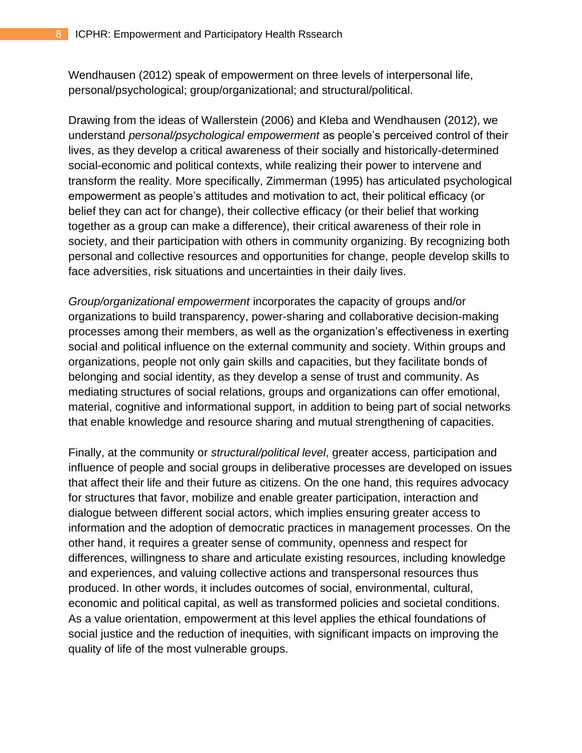Wendhausen (2012) speak of empowerment on three levels of interpersonal life, personal/psychological; group/organizational; and structural/political.

Drawing from the ideas of Wallerstein (2006) and Kleba and Wendhausen (2012), we understand *personal/psychological empowerment* as people's perceived control of their lives, as they develop a critical awareness of their socially and historically-determined social-economic and political contexts, while realizing their power to intervene and transform the reality. More specifically, Zimmerman (1995) has articulated psychological empowerment as people's attitudes and motivation to act, their political efficacy (or belief they can act for change), their collective efficacy (or their belief that working together as a group can make a difference), their critical awareness of their role in society, and their participation with others in community organizing. By recognizing both personal and collective resources and opportunities for change, people develop skills to face adversities, risk situations and uncertainties in their daily lives.

*Group/organizational empowerment* incorporates the capacity of groups and/or organizations to build transparency, power-sharing and collaborative decision-making processes among their members, as well as the organization's effectiveness in exerting social and political influence on the external community and society. Within groups and organizations, people not only gain skills and capacities, but they facilitate bonds of belonging and social identity, as they develop a sense of trust and community. As mediating structures of social relations, groups and organizations can offer emotional, material, cognitive and informational support, in addition to being part of social networks that enable knowledge and resource sharing and mutual strengthening of capacities.

Finally, at the community or *structural/political level*, greater access, participation and influence of people and social groups in deliberative processes are developed on issues that affect their life and their future as citizens. On the one hand, this requires advocacy for structures that favor, mobilize and enable greater participation, interaction and dialogue between different social actors, which implies ensuring greater access to information and the adoption of democratic practices in management processes. On the other hand, it requires a greater sense of community, openness and respect for differences, willingness to share and articulate existing resources, including knowledge and experiences, and valuing collective actions and transpersonal resources thus produced. In other words, it includes outcomes of social, environmental, cultural, economic and political capital, as well as transformed policies and societal conditions. As a value orientation, empowerment at this level applies the ethical foundations of social justice and the reduction of inequities, with significant impacts on improving the quality of life of the most vulnerable groups.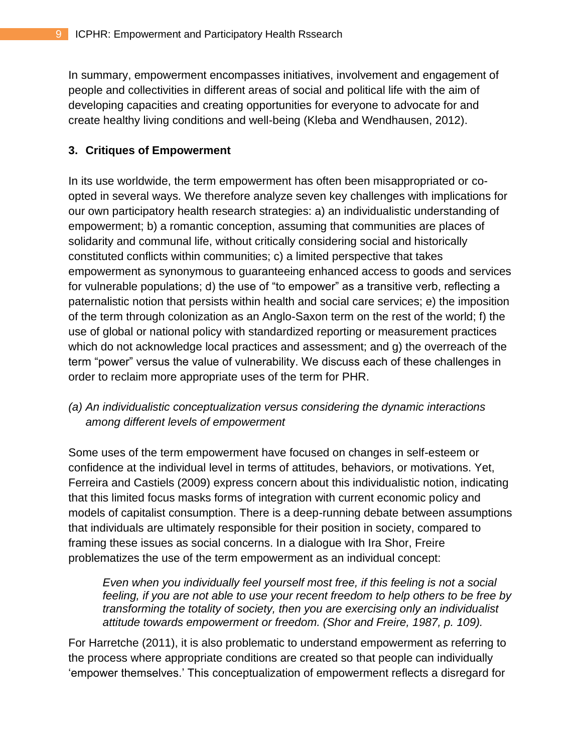In summary, empowerment encompasses initiatives, involvement and engagement of people and collectivities in different areas of social and political life with the aim of developing capacities and creating opportunities for everyone to advocate for and create healthy living conditions and well-being (Kleba and Wendhausen, 2012).

## **3. Critiques of Empowerment**

In its use worldwide, the term empowerment has often been misappropriated or coopted in several ways. We therefore analyze seven key challenges with implications for our own participatory health research strategies: a) an individualistic understanding of empowerment; b) a romantic conception, assuming that communities are places of solidarity and communal life, without critically considering social and historically constituted conflicts within communities; c) a limited perspective that takes empowerment as synonymous to guaranteeing enhanced access to goods and services for vulnerable populations; d) the use of "to empower" as a transitive verb, reflecting a paternalistic notion that persists within health and social care services; e) the imposition of the term through colonization as an Anglo-Saxon term on the rest of the world; f) the use of global or national policy with standardized reporting or measurement practices which do not acknowledge local practices and assessment; and g) the overreach of the term "power" versus the value of vulnerability. We discuss each of these challenges in order to reclaim more appropriate uses of the term for PHR.

## *(a) An individualistic conceptualization versus considering the dynamic interactions among different levels of empowerment*

Some uses of the term empowerment have focused on changes in self-esteem or confidence at the individual level in terms of attitudes, behaviors, or motivations. Yet, Ferreira and Castiels (2009) express concern about this individualistic notion, indicating that this limited focus masks forms of integration with current economic policy and models of capitalist consumption. There is a deep-running debate between assumptions that individuals are ultimately responsible for their position in society, compared to framing these issues as social concerns. In a dialogue with Ira Shor, Freire problematizes the use of the term empowerment as an individual concept:

*Even when you individually feel yourself most free, if this feeling is not a social feeling, if you are not able to use your recent freedom to help others to be free by transforming the totality of society, then you are exercising only an individualist attitude towards empowerment or freedom. (Shor and Freire, 1987, p. 109).*

For Harretche (2011), it is also problematic to understand empowerment as referring to the process where appropriate conditions are created so that people can individually 'empower themselves.' This conceptualization of empowerment reflects a disregard for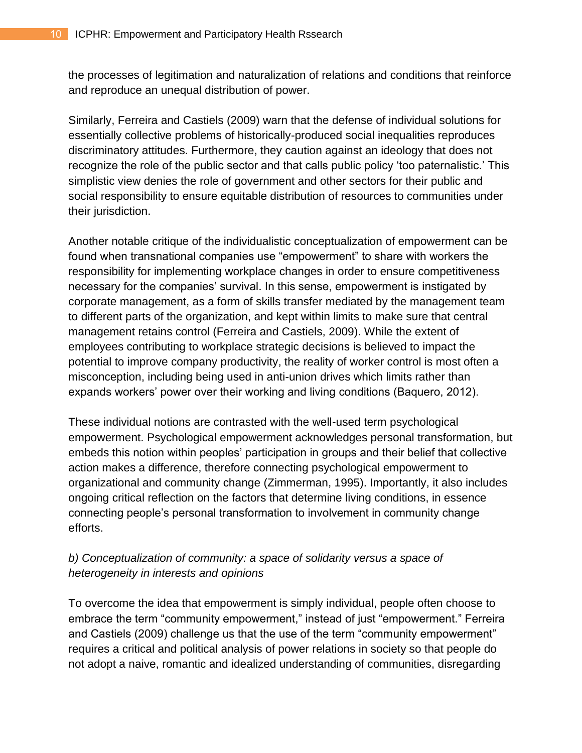the processes of legitimation and naturalization of relations and conditions that reinforce and reproduce an unequal distribution of power.

Similarly, Ferreira and Castiels (2009) warn that the defense of individual solutions for essentially collective problems of historically-produced social inequalities reproduces discriminatory attitudes. Furthermore, they caution against an ideology that does not recognize the role of the public sector and that calls public policy 'too paternalistic.' This simplistic view denies the role of government and other sectors for their public and social responsibility to ensure equitable distribution of resources to communities under their jurisdiction.

Another notable critique of the individualistic conceptualization of empowerment can be found when transnational companies use "empowerment" to share with workers the responsibility for implementing workplace changes in order to ensure competitiveness necessary for the companies' survival. In this sense, empowerment is instigated by corporate management, as a form of skills transfer mediated by the management team to different parts of the organization, and kept within limits to make sure that central management retains control (Ferreira and Castiels, 2009). While the extent of employees contributing to workplace strategic decisions is believed to impact the potential to improve company productivity, the reality of worker control is most often a misconception, including being used in anti-union drives which limits rather than expands workers' power over their working and living conditions (Baquero, 2012).

These individual notions are contrasted with the well-used term psychological empowerment. Psychological empowerment acknowledges personal transformation, but embeds this notion within peoples' participation in groups and their belief that collective action makes a difference, therefore connecting psychological empowerment to organizational and community change (Zimmerman, 1995). Importantly, it also includes ongoing critical reflection on the factors that determine living conditions, in essence connecting people's personal transformation to involvement in community change efforts.

## *b) Conceptualization of community: a space of solidarity versus a space of heterogeneity in interests and opinions*

To overcome the idea that empowerment is simply individual, people often choose to embrace the term "community empowerment," instead of just "empowerment." Ferreira and Castiels (2009) challenge us that the use of the term "community empowerment" requires a critical and political analysis of power relations in society so that people do not adopt a naive, romantic and idealized understanding of communities, disregarding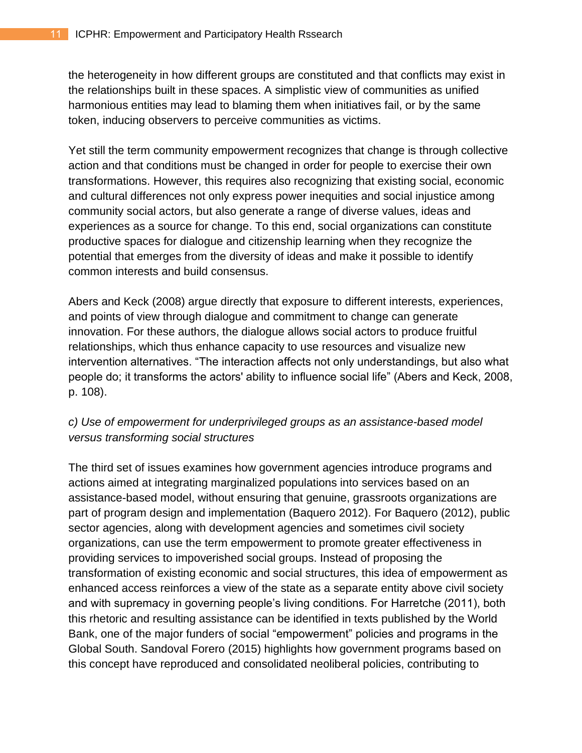the heterogeneity in how different groups are constituted and that conflicts may exist in the relationships built in these spaces. A simplistic view of communities as unified harmonious entities may lead to blaming them when initiatives fail, or by the same token, inducing observers to perceive communities as victims.

Yet still the term community empowerment recognizes that change is through collective action and that conditions must be changed in order for people to exercise their own transformations. However, this requires also recognizing that existing social, economic and cultural differences not only express power inequities and social injustice among community social actors, but also generate a range of diverse values, ideas and experiences as a source for change. To this end, social organizations can constitute productive spaces for dialogue and citizenship learning when they recognize the potential that emerges from the diversity of ideas and make it possible to identify common interests and build consensus.

Abers and Keck (2008) argue directly that exposure to different interests, experiences, and points of view through dialogue and commitment to change can generate innovation. For these authors, the dialogue allows social actors to produce fruitful relationships, which thus enhance capacity to use resources and visualize new intervention alternatives. "The interaction affects not only understandings, but also what people do; it transforms the actors' ability to influence social life" (Abers and Keck, 2008, p. 108).

## *c) Use of empowerment for underprivileged groups as an assistance-based model versus transforming social structures*

The third set of issues examines how government agencies introduce programs and actions aimed at integrating marginalized populations into services based on an assistance-based model, without ensuring that genuine, grassroots organizations are part of program design and implementation (Baquero 2012). For Baquero (2012), public sector agencies, along with development agencies and sometimes civil society organizations, can use the term empowerment to promote greater effectiveness in providing services to impoverished social groups. Instead of proposing the transformation of existing economic and social structures, this idea of empowerment as enhanced access reinforces a view of the state as a separate entity above civil society and with supremacy in governing people's living conditions. For Harretche (2011), both this rhetoric and resulting assistance can be identified in texts published by the World Bank, one of the major funders of social "empowerment" policies and programs in the Global South. Sandoval Forero (2015) highlights how government programs based on this concept have reproduced and consolidated neoliberal policies, contributing to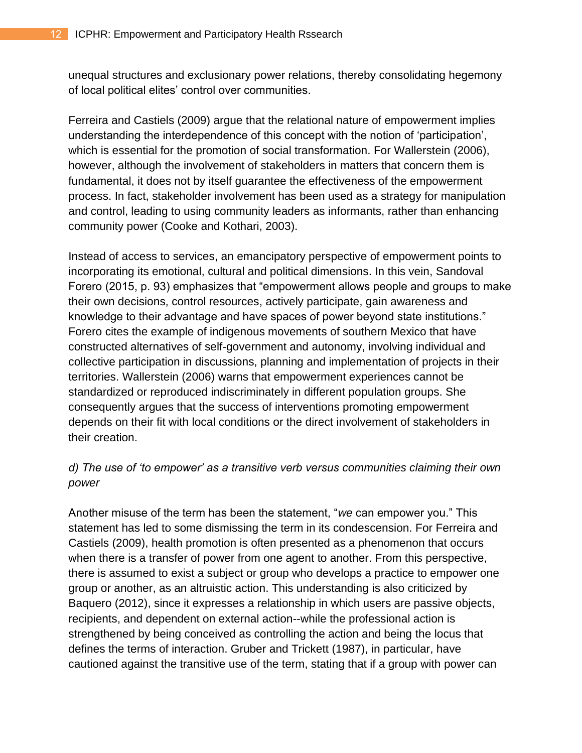unequal structures and exclusionary power relations, thereby consolidating hegemony of local political elites' control over communities.

Ferreira and Castiels (2009) argue that the relational nature of empowerment implies understanding the interdependence of this concept with the notion of 'participation', which is essential for the promotion of social transformation. For Wallerstein (2006), however, although the involvement of stakeholders in matters that concern them is fundamental, it does not by itself guarantee the effectiveness of the empowerment process. In fact, stakeholder involvement has been used as a strategy for manipulation and control, leading to using community leaders as informants, rather than enhancing community power (Cooke and Kothari, 2003).

Instead of access to services, an emancipatory perspective of empowerment points to incorporating its emotional, cultural and political dimensions. In this vein, Sandoval Forero (2015, p. 93) emphasizes that "empowerment allows people and groups to make their own decisions, control resources, actively participate, gain awareness and knowledge to their advantage and have spaces of power beyond state institutions." Forero cites the example of indigenous movements of southern Mexico that have constructed alternatives of self-government and autonomy, involving individual and collective participation in discussions, planning and implementation of projects in their territories. Wallerstein (2006) warns that empowerment experiences cannot be standardized or reproduced indiscriminately in different population groups. She consequently argues that the success of interventions promoting empowerment depends on their fit with local conditions or the direct involvement of stakeholders in their creation.

## *d) The use of 'to empower' as a transitive verb versus communities claiming their own power*

Another misuse of the term has been the statement, "*we* can empower you." This statement has led to some dismissing the term in its condescension. For Ferreira and Castiels (2009), health promotion is often presented as a phenomenon that occurs when there is a transfer of power from one agent to another. From this perspective, there is assumed to exist a subject or group who develops a practice to empower one group or another, as an altruistic action. This understanding is also criticized by Baquero (2012), since it expresses a relationship in which users are passive objects, recipients, and dependent on external action--while the professional action is strengthened by being conceived as controlling the action and being the locus that defines the terms of interaction. Gruber and Trickett (1987), in particular, have cautioned against the transitive use of the term, stating that if a group with power can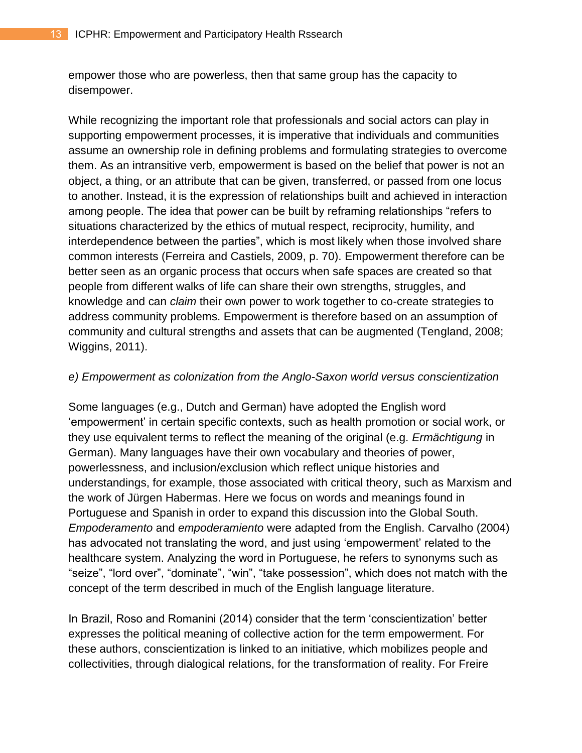empower those who are powerless, then that same group has the capacity to disempower.

While recognizing the important role that professionals and social actors can play in supporting empowerment processes, it is imperative that individuals and communities assume an ownership role in defining problems and formulating strategies to overcome them. As an intransitive verb, empowerment is based on the belief that power is not an object, a thing, or an attribute that can be given, transferred, or passed from one locus to another. Instead, it is the expression of relationships built and achieved in interaction among people. The idea that power can be built by reframing relationships "refers to situations characterized by the ethics of mutual respect, reciprocity, humility, and interdependence between the parties", which is most likely when those involved share common interests (Ferreira and Castiels, 2009, p. 70). Empowerment therefore can be better seen as an organic process that occurs when safe spaces are created so that people from different walks of life can share their own strengths, struggles, and knowledge and can *claim* their own power to work together to co-create strategies to address community problems. Empowerment is therefore based on an assumption of community and cultural strengths and assets that can be augmented (Tengland, 2008; Wiggins, 2011).

#### *e) Empowerment as colonization from the Anglo-Saxon world versus conscientization*

Some languages (e.g., Dutch and German) have adopted the English word 'empowerment' in certain specific contexts, such as health promotion or social work, or they use equivalent terms to reflect the meaning of the original (e.g. *Ermächtigung* in German). Many languages have their own vocabulary and theories of power, powerlessness, and inclusion/exclusion which reflect unique histories and understandings, for example, those associated with critical theory, such as Marxism and the work of Jürgen Habermas. Here we focus on words and meanings found in Portuguese and Spanish in order to expand this discussion into the Global South. *Empoderamento* and *empoderamiento* were adapted from the English. Carvalho (2004) has advocated not translating the word, and just using 'empowerment' related to the healthcare system. Analyzing the word in Portuguese, he refers to synonyms such as "seize", "lord over", "dominate", "win", "take possession", which does not match with the concept of the term described in much of the English language literature.

In Brazil, Roso and Romanini (2014) consider that the term 'conscientization' better expresses the political meaning of collective action for the term empowerment. For these authors, conscientization is linked to an initiative, which mobilizes people and collectivities, through dialogical relations, for the transformation of reality. For Freire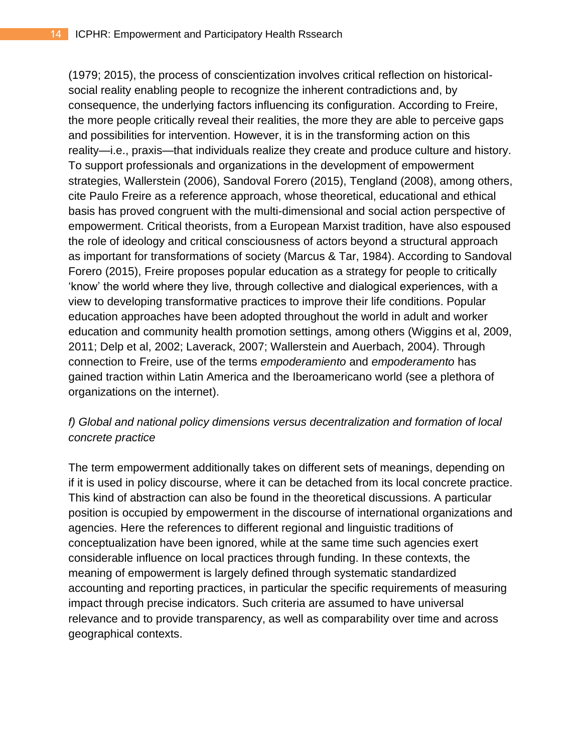(1979; 2015), the process of conscientization involves critical reflection on historicalsocial reality enabling people to recognize the inherent contradictions and, by consequence, the underlying factors influencing its configuration. According to Freire, the more people critically reveal their realities, the more they are able to perceive gaps and possibilities for intervention. However, it is in the transforming action on this reality—i.e., praxis—that individuals realize they create and produce culture and history. To support professionals and organizations in the development of empowerment strategies, Wallerstein (2006), Sandoval Forero (2015), Tengland (2008), among others, cite Paulo Freire as a reference approach, whose theoretical, educational and ethical basis has proved congruent with the multi-dimensional and social action perspective of empowerment. Critical theorists, from a European Marxist tradition, have also espoused the role of ideology and critical consciousness of actors beyond a structural approach as important for transformations of society (Marcus & Tar, 1984). According to Sandoval Forero (2015), Freire proposes popular education as a strategy for people to critically 'know' the world where they live, through collective and dialogical experiences, with a view to developing transformative practices to improve their life conditions. Popular education approaches have been adopted throughout the world in adult and worker education and community health promotion settings, among others (Wiggins et al, 2009, 2011; Delp et al, 2002; Laverack, 2007; Wallerstein and Auerbach, 2004). Through connection to Freire, use of the terms *empoderamiento* and *empoderamento* has gained traction within Latin America and the Iberoamericano world (see a plethora of organizations on the internet).

## *f) Global and national policy dimensions versus decentralization and formation of local concrete practice*

The term empowerment additionally takes on different sets of meanings, depending on if it is used in policy discourse, where it can be detached from its local concrete practice. This kind of abstraction can also be found in the theoretical discussions. A particular position is occupied by empowerment in the discourse of international organizations and agencies. Here the references to different regional and linguistic traditions of conceptualization have been ignored, while at the same time such agencies exert considerable influence on local practices through funding. In these contexts, the meaning of empowerment is largely defined through systematic standardized accounting and reporting practices, in particular the specific requirements of measuring impact through precise indicators. Such criteria are assumed to have universal relevance and to provide transparency, as well as comparability over time and across geographical contexts.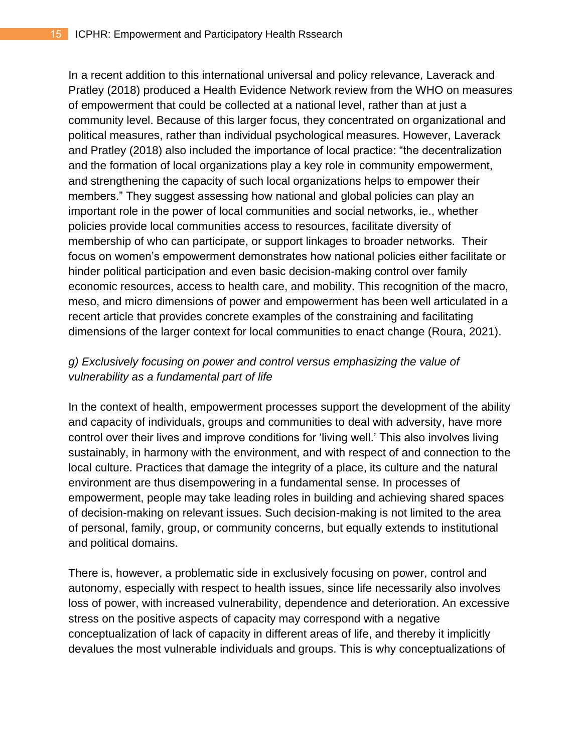In a recent addition to this international universal and policy relevance, Laverack and Pratley (2018) produced a Health Evidence Network review from the WHO on measures of empowerment that could be collected at a national level, rather than at just a community level. Because of this larger focus, they concentrated on organizational and political measures, rather than individual psychological measures. However, Laverack and Pratley (2018) also included the importance of local practice: "the decentralization and the formation of local organizations play a key role in community empowerment, and strengthening the capacity of such local organizations helps to empower their members." They suggest assessing how national and global policies can play an important role in the power of local communities and social networks, ie., whether policies provide local communities access to resources, facilitate diversity of membership of who can participate, or support linkages to broader networks. Their focus on women's empowerment demonstrates how national policies either facilitate or hinder political participation and even basic decision-making control over family economic resources, access to health care, and mobility. This recognition of the macro, meso, and micro dimensions of power and empowerment has been well articulated in a recent article that provides concrete examples of the constraining and facilitating dimensions of the larger context for local communities to enact change (Roura, 2021).

## *g) Exclusively focusing on power and control versus emphasizing the value of vulnerability as a fundamental part of life*

In the context of health, empowerment processes support the development of the ability and capacity of individuals, groups and communities to deal with adversity, have more control over their lives and improve conditions for 'living well.' This also involves living sustainably, in harmony with the environment, and with respect of and connection to the local culture. Practices that damage the integrity of a place, its culture and the natural environment are thus disempowering in a fundamental sense. In processes of empowerment, people may take leading roles in building and achieving shared spaces of decision-making on relevant issues. Such decision-making is not limited to the area of personal, family, group, or community concerns, but equally extends to institutional and political domains.

There is, however, a problematic side in exclusively focusing on power, control and autonomy, especially with respect to health issues, since life necessarily also involves loss of power, with increased vulnerability, dependence and deterioration. An excessive stress on the positive aspects of capacity may correspond with a negative conceptualization of lack of capacity in different areas of life, and thereby it implicitly devalues the most vulnerable individuals and groups. This is why conceptualizations of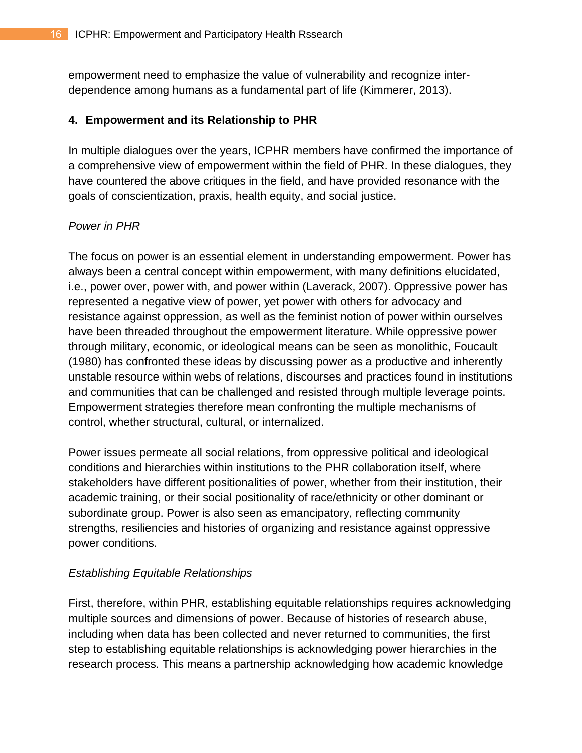empowerment need to emphasize the value of vulnerability and recognize interdependence among humans as a fundamental part of life (Kimmerer, 2013).

## **4. Empowerment and its Relationship to PHR**

In multiple dialogues over the years, ICPHR members have confirmed the importance of a comprehensive view of empowerment within the field of PHR. In these dialogues, they have countered the above critiques in the field, and have provided resonance with the goals of conscientization, praxis, health equity, and social justice.

## *Power in PHR*

The focus on power is an essential element in understanding empowerment. Power has always been a central concept within empowerment, with many definitions elucidated, i.e., power over, power with, and power within (Laverack, 2007). Oppressive power has represented a negative view of power, yet power with others for advocacy and resistance against oppression, as well as the feminist notion of power within ourselves have been threaded throughout the empowerment literature. While oppressive power through military, economic, or ideological means can be seen as monolithic, Foucault (1980) has confronted these ideas by discussing power as a productive and inherently unstable resource within webs of relations, discourses and practices found in institutions and communities that can be challenged and resisted through multiple leverage points. Empowerment strategies therefore mean confronting the multiple mechanisms of control, whether structural, cultural, or internalized.

Power issues permeate all social relations, from oppressive political and ideological conditions and hierarchies within institutions to the PHR collaboration itself, where stakeholders have different positionalities of power, whether from their institution, their academic training, or their social positionality of race/ethnicity or other dominant or subordinate group. Power is also seen as emancipatory, reflecting community strengths, resiliencies and histories of organizing and resistance against oppressive power conditions.

## *Establishing Equitable Relationships*

First, therefore, within PHR, establishing equitable relationships requires acknowledging multiple sources and dimensions of power. Because of histories of research abuse, including when data has been collected and never returned to communities, the first step to establishing equitable relationships is acknowledging power hierarchies in the research process. This means a partnership acknowledging how academic knowledge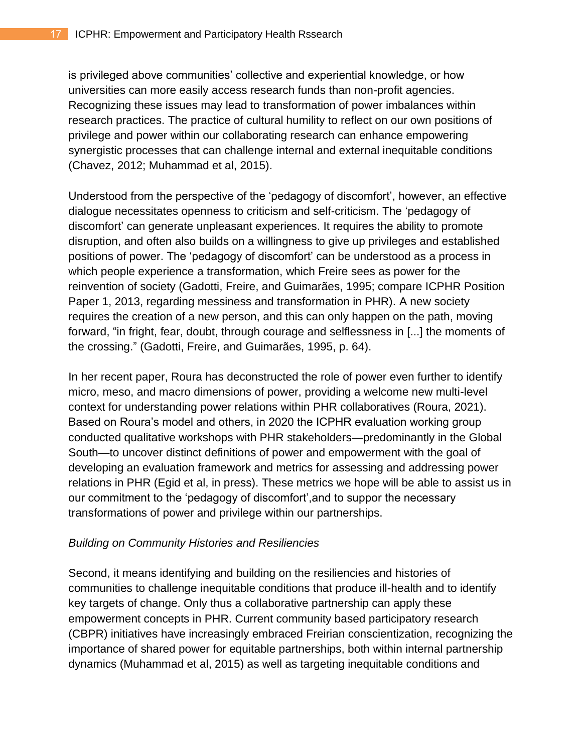is privileged above communities' collective and experiential knowledge, or how universities can more easily access research funds than non-profit agencies. Recognizing these issues may lead to transformation of power imbalances within research practices. The practice of cultural humility to reflect on our own positions of privilege and power within our collaborating research can enhance empowering synergistic processes that can challenge internal and external inequitable conditions (Chavez, 2012; Muhammad et al, 2015).

Understood from the perspective of the 'pedagogy of discomfort', however, an effective dialogue necessitates openness to criticism and self-criticism. The 'pedagogy of discomfort' can generate unpleasant experiences. It requires the ability to promote disruption, and often also builds on a willingness to give up privileges and established positions of power. The 'pedagogy of discomfort' can be understood as a process in which people experience a transformation, which Freire sees as power for the reinvention of society (Gadotti, Freire, and Guimarães, 1995; compare ICPHR Position Paper 1, 2013, regarding messiness and transformation in PHR). A new society requires the creation of a new person, and this can only happen on the path, moving forward, "in fright, fear, doubt, through courage and selflessness in [...] the moments of the crossing." (Gadotti, Freire, and Guimarães, 1995, p. 64).

In her recent paper, Roura has deconstructed the role of power even further to identify micro, meso, and macro dimensions of power, providing a welcome new multi-level context for understanding power relations within PHR collaboratives (Roura, 2021). Based on Roura's model and others, in 2020 the ICPHR evaluation working group conducted qualitative workshops with PHR stakeholders—predominantly in the Global South—to uncover distinct definitions of power and empowerment with the goal of developing an evaluation framework and metrics for assessing and addressing power relations in PHR (Egid et al, in press). These metrics we hope will be able to assist us in our commitment to the 'pedagogy of discomfort',and to suppor the necessary transformations of power and privilege within our partnerships.

#### *Building on Community Histories and Resiliencies*

Second, it means identifying and building on the resiliencies and histories of communities to challenge inequitable conditions that produce ill-health and to identify key targets of change. Only thus a collaborative partnership can apply these empowerment concepts in PHR. Current community based participatory research (CBPR) initiatives have increasingly embraced Freirian conscientization, recognizing the importance of shared power for equitable partnerships, both within internal partnership dynamics (Muhammad et al, 2015) as well as targeting inequitable conditions and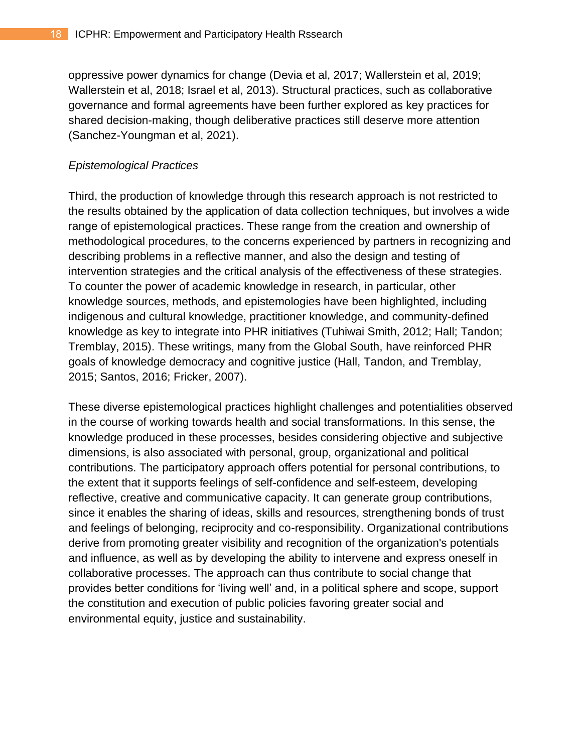oppressive power dynamics for change (Devia et al, 2017; Wallerstein et al, 2019; Wallerstein et al, 2018; Israel et al, 2013). Structural practices, such as collaborative governance and formal agreements have been further explored as key practices for shared decision-making, though deliberative practices still deserve more attention (Sanchez-Youngman et al, 2021).

## *Epistemological Practices*

Third, the production of knowledge through this research approach is not restricted to the results obtained by the application of data collection techniques, but involves a wide range of epistemological practices. These range from the creation and ownership of methodological procedures, to the concerns experienced by partners in recognizing and describing problems in a reflective manner, and also the design and testing of intervention strategies and the critical analysis of the effectiveness of these strategies. To counter the power of academic knowledge in research, in particular, other knowledge sources, methods, and epistemologies have been highlighted, including indigenous and cultural knowledge, practitioner knowledge, and community-defined knowledge as key to integrate into PHR initiatives (Tuhiwai Smith, 2012; Hall; Tandon; Tremblay, 2015). These writings, many from the Global South, have reinforced PHR goals of knowledge democracy and cognitive justice (Hall, Tandon, and Tremblay, 2015; Santos, 2016; Fricker, 2007).

These diverse epistemological practices highlight challenges and potentialities observed in the course of working towards health and social transformations. In this sense, the knowledge produced in these processes, besides considering objective and subjective dimensions, is also associated with personal, group, organizational and political contributions. The participatory approach offers potential for personal contributions, to the extent that it supports feelings of self-confidence and self-esteem, developing reflective, creative and communicative capacity. It can generate group contributions, since it enables the sharing of ideas, skills and resources, strengthening bonds of trust and feelings of belonging, reciprocity and co-responsibility. Organizational contributions derive from promoting greater visibility and recognition of the organization's potentials and influence, as well as by developing the ability to intervene and express oneself in collaborative processes. The approach can thus contribute to social change that provides better conditions for 'living well' and, in a political sphere and scope, support the constitution and execution of public policies favoring greater social and environmental equity, justice and sustainability.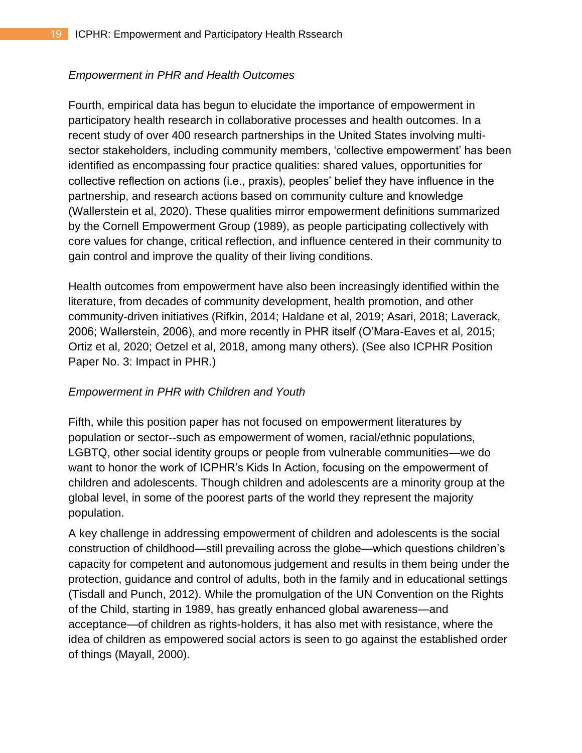## *Empowerment in PHR and Health Outcomes*

Fourth, empirical data has begun to elucidate the importance of empowerment in participatory health research in collaborative processes and health outcomes. In a recent study of over 400 research partnerships in the United States involving multisector stakeholders, including community members, 'collective empowerment' has been identified as encompassing four practice qualities: shared values, opportunities for collective reflection on actions (i.e., praxis), peoples' belief they have influence in the partnership, and research actions based on community culture and knowledge (Wallerstein et al, 2020). These qualities mirror empowerment definitions summarized by the Cornell Empowerment Group (1989), as people participating collectively with core values for change, critical reflection, and influence centered in their community to gain control and improve the quality of their living conditions.

Health outcomes from empowerment have also been increasingly identified within the literature, from decades of community development, health promotion, and other community-driven initiatives (Rifkin, 2014; Haldane et al, 2019; Asari, 2018; Laverack, 2006; Wallerstein, 2006), and more recently in PHR itself (O'Mara-Eaves et al, 2015; Ortiz et al, 2020; Oetzel et al, 2018, among many others). (See also ICPHR Position Paper No. 3: Impact in PHR.)

## *Empowerment in PHR with Children and Youth*

Fifth, while this position paper has not focused on empowerment literatures by population or sector--such as empowerment of women, racial/ethnic populations, LGBTQ, other social identity groups or people from vulnerable communities—we do want to honor the work of ICPHR's Kids In Action, focusing on the empowerment of children and adolescents. Though children and adolescents are a minority group at the global level, in some of the poorest parts of the world they represent the majority population.

A key challenge in addressing empowerment of children and adolescents is the social construction of childhood—still prevailing across the globe—which questions children's capacity for competent and autonomous judgement and results in them being under the protection, guidance and control of adults, both in the family and in educational settings (Tisdall and Punch, 2012). While the promulgation of the UN Convention on the Rights of the Child, starting in 1989, has greatly enhanced global awareness—and acceptance—of children as rights-holders, it has also met with resistance, where the idea of children as empowered social actors is seen to go against the established order of things (Mayall, 2000).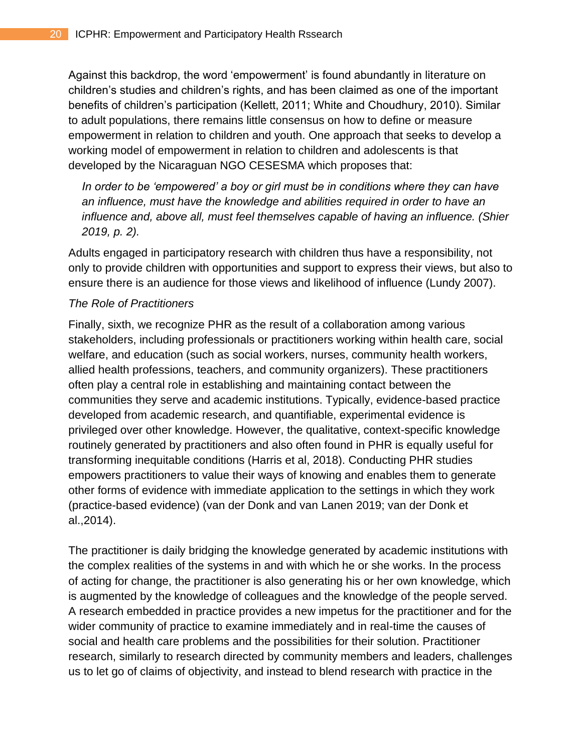Against this backdrop, the word 'empowerment' is found abundantly in literature on children's studies and children's rights, and has been claimed as one of the important benefits of children's participation (Kellett, 2011; White and Choudhury, 2010). Similar to adult populations, there remains little consensus on how to define or measure empowerment in relation to children and youth. One approach that seeks to develop a working model of empowerment in relation to children and adolescents is that developed by the Nicaraguan NGO CESESMA which proposes that:

*In order to be 'empowered' a boy or girl must be in conditions where they can have an influence, must have the knowledge and abilities required in order to have an influence and, above all, must feel themselves capable of having an influence. (Shier 2019, p. 2).*

Adults engaged in participatory research with children thus have a responsibility, not only to provide children with opportunities and support to express their views, but also to ensure there is an audience for those views and likelihood of influence (Lundy 2007).

## *The Role of Practitioners*

Finally, sixth, we recognize PHR as the result of a collaboration among various stakeholders, including professionals or practitioners working within health care, social welfare, and education (such as social workers, nurses, community health workers, allied health professions, teachers, and community organizers). These practitioners often play a central role in establishing and maintaining contact between the communities they serve and academic institutions. Typically, evidence-based practice developed from academic research, and quantifiable, experimental evidence is privileged over other knowledge. However, the qualitative, context-specific knowledge routinely generated by practitioners and also often found in PHR is equally useful for transforming inequitable conditions (Harris et al, 2018). Conducting PHR studies empowers practitioners to value their ways of knowing and enables them to generate other forms of evidence with immediate application to the settings in which they work (practice-based evidence) (van der Donk and van Lanen 2019; van der Donk et al.,2014).

The practitioner is daily bridging the knowledge generated by academic institutions with the complex realities of the systems in and with which he or she works. In the process of acting for change, the practitioner is also generating his or her own knowledge, which is augmented by the knowledge of colleagues and the knowledge of the people served. A research embedded in practice provides a new impetus for the practitioner and for the wider community of practice to examine immediately and in real-time the causes of social and health care problems and the possibilities for their solution. Practitioner research, similarly to research directed by community members and leaders, challenges us to let go of claims of objectivity, and instead to blend research with practice in the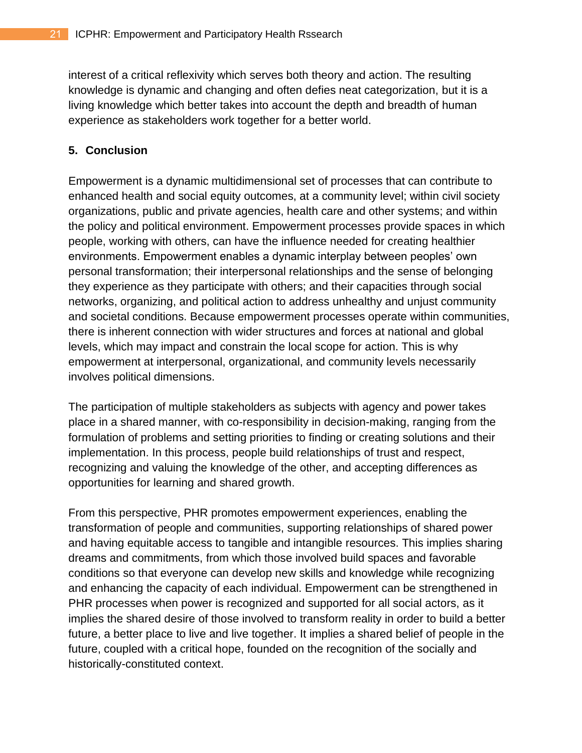interest of a critical reflexivity which serves both theory and action. The resulting knowledge is dynamic and changing and often defies neat categorization, but it is a living knowledge which better takes into account the depth and breadth of human experience as stakeholders work together for a better world.

## **5. Conclusion**

Empowerment is a dynamic multidimensional set of processes that can contribute to enhanced health and social equity outcomes, at a community level; within civil society organizations, public and private agencies, health care and other systems; and within the policy and political environment. Empowerment processes provide spaces in which people, working with others, can have the influence needed for creating healthier environments. Empowerment enables a dynamic interplay between peoples' own personal transformation; their interpersonal relationships and the sense of belonging they experience as they participate with others; and their capacities through social networks, organizing, and political action to address unhealthy and unjust community and societal conditions. Because empowerment processes operate within communities, there is inherent connection with wider structures and forces at national and global levels, which may impact and constrain the local scope for action. This is why empowerment at interpersonal, organizational, and community levels necessarily involves political dimensions.

The participation of multiple stakeholders as subjects with agency and power takes place in a shared manner, with co-responsibility in decision-making, ranging from the formulation of problems and setting priorities to finding or creating solutions and their implementation. In this process, people build relationships of trust and respect, recognizing and valuing the knowledge of the other, and accepting differences as opportunities for learning and shared growth.

From this perspective, PHR promotes empowerment experiences, enabling the transformation of people and communities, supporting relationships of shared power and having equitable access to tangible and intangible resources. This implies sharing dreams and commitments, from which those involved build spaces and favorable conditions so that everyone can develop new skills and knowledge while recognizing and enhancing the capacity of each individual. Empowerment can be strengthened in PHR processes when power is recognized and supported for all social actors, as it implies the shared desire of those involved to transform reality in order to build a better future, a better place to live and live together. It implies a shared belief of people in the future, coupled with a critical hope, founded on the recognition of the socially and historically-constituted context.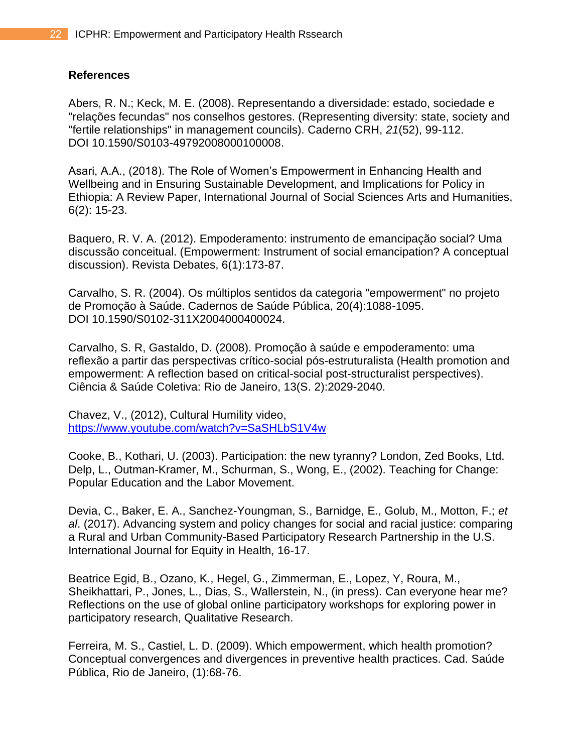#### **References**

Abers, R. N.; Keck, M. E. (2008). Representando a diversidade: estado, sociedade e "relações fecundas" nos conselhos gestores. (Representing diversity: state, society and "fertile relationships" in management councils). Caderno CRH, *21*(52), 99-112. DOI [10.1590/S0103-49792008000100008.](about:blank)

Asari, A.A., (2018). The Role of Women's Empowerment in Enhancing Health and Wellbeing and in Ensuring Sustainable Development, and Implications for Policy in Ethiopia: A Review Paper, International Journal of Social Sciences Arts and Humanities, 6(2): 15-23.

Baquero, R. V. A. (2012). Empoderamento: instrumento de emancipação social? Uma discussão conceitual. (Empowerment: Instrument of social emancipation? A conceptual discussion). Revista Debates, 6(1):173-87.

Carvalho, S. R. (2004). Os múltiplos sentidos da categoria "empowerment" no projeto de Promoção à Saúde. Cadernos de Saúde Pública, 20(4):1088-1095. DOI 10.1590/S0102-311X2004000400024.

Carvalho, S. R, Gastaldo, D. (2008). Promoção à saúde e empoderamento: uma reflexão a partir das perspectivas crítico-social pós-estruturalista (Health promotion and empowerment: A reflection based on critical-social post-structuralist perspectives). Ciência & Saúde Coletiva: Rio de Janeiro, 13(S. 2):2029-2040.

Chavez, V., (2012), Cultural Humility video, <https://www.youtube.com/watch?v=SaSHLbS1V4w>

Cooke, B., Kothari, U. (2003). Participation: the new tyranny? London, Zed Books, Ltd. Delp, L., Outman-Kramer, M., Schurman, S., Wong, E., (2002). Teaching for Change: Popular Education and the Labor Movement.

Devia, C., Baker, E. A., Sanchez-Youngman, S., Barnidge, E., Golub, M., Motton, F.; *et al*. (2017). Advancing system and policy changes for social and racial justice: comparing a Rural and Urban Community-Based Participatory Research Partnership in the U.S. International Journal for Equity in Health, 16-17.

Beatrice Egid, B., Ozano, K., Hegel, G., Zimmerman, E., Lopez, Y, Roura, M., Sheikhattari, P., Jones, L., Dias, S., Wallerstein, N., (in press). Can everyone hear me? Reflections on the use of global online participatory workshops for exploring power in participatory research, Qualitative Research.

Ferreira, M. S., Castiel, L. D. (2009). Which empowerment, which health promotion? Conceptual convergences and divergences in preventive health practices. Cad. Saúde Pública, Rio de Janeiro, (1):68-76.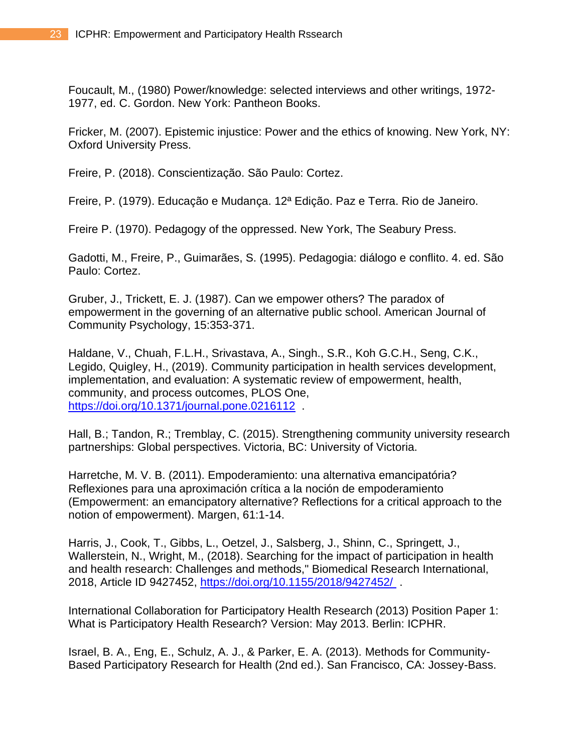Foucault, M., (1980) Power/knowledge: selected interviews and other writings, 1972- 1977, ed. C. Gordon. New York: Pantheon Books.

Fricker, M. (2007). Epistemic injustice: Power and the ethics of knowing. New York, NY: Oxford University Press.

Freire, P. (2018). Conscientização. São Paulo: Cortez.

Freire, P. (1979). Educação e Mudança. 12ª Edição. Paz e Terra. Rio de Janeiro.

Freire P. (1970). Pedagogy of the oppressed. New York, The Seabury Press.

Gadotti, M., Freire, P., Guimarães, S. (1995). Pedagogia: diálogo e conflito. 4. ed. São Paulo: Cortez.

Gruber, J., Trickett, E. J. (1987). Can we empower others? The paradox of empowerment in the governing of an alternative public school. American Journal of Community Psychology, 15:353-371.

Haldane, V., Chuah, F.L.H., Srivastava, A., Singh., S.R., Koh G.C.H., Seng, C.K., Legido, Quigley, H., (2019). Community participation in health services development, implementation, and evaluation: A systematic review of empowerment, health, community, and process outcomes, PLOS One, [https://doi.org/10.1371/journal.pone.0216112](about:blank) .

Hall, B.; Tandon, R.; Tremblay, C. (2015). Strengthening community university research partnerships: Global perspectives. Victoria, BC: University of Victoria.

Harretche, M. V. B. (2011). Empoderamiento: una alternativa emancipatória? Reflexiones para una aproximación crítica a la noción de empoderamiento (Empowerment: an emancipatory alternative? Reflections for a critical approach to the notion of empowerment). Margen, 61:1-14.

Harris, J., Cook, T., Gibbs, L., Oetzel, J., Salsberg, J., Shinn, C., Springett, J., Wallerstein, N., Wright, M., (2018). Searching for the impact of participation in health and health research: Challenges and methods," Biomedical Research International, 2018, Article ID 9427452, [https://doi.org/10.1155/2018/9427452/](about:blank).

International Collaboration for Participatory Health Research (2013) Position Paper 1: What is Participatory Health Research? Version: May 2013. Berlin: ICPHR.

Israel, B. A., Eng, E., Schulz, A. J., & Parker, E. A. (2013). Methods for Community-Based Participatory Research for Health (2nd ed.). San Francisco, CA: Jossey-Bass.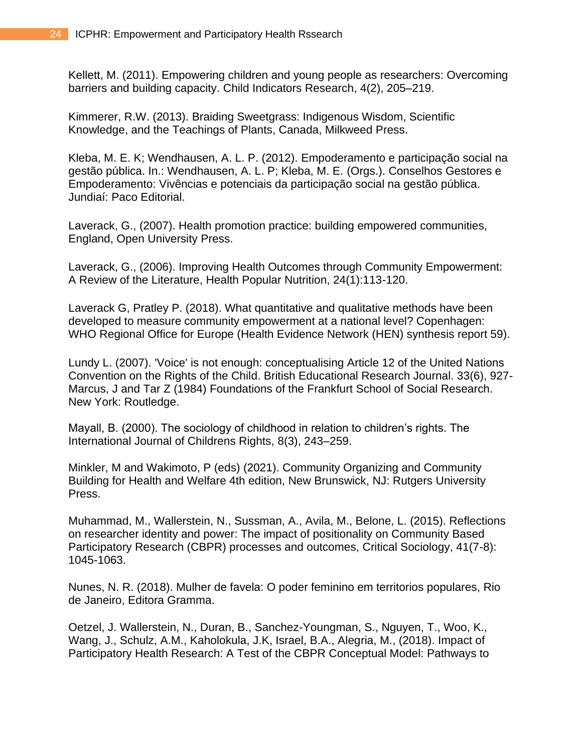Kellett, M. (2011). Empowering children and young people as researchers: Overcoming barriers and building capacity. Child Indicators Research, 4(2), 205–219.

Kimmerer, R.W. (2013). Braiding Sweetgrass: Indigenous Wisdom, Scientific Knowledge, and the Teachings of Plants, Canada, Milkweed Press.

Kleba, M. E. K; Wendhausen, A. L. P. (2012). Empoderamento e participação social na gestão pública. In.: Wendhausen, A. L. P; Kleba, M. E. (Orgs.). Conselhos Gestores e Empoderamento: Vivências e potenciais da participação social na gestão pública. Jundiaí: Paco Editorial.

Laverack, G., (2007). Health promotion practice: building empowered communities, England, Open University Press.

Laverack, G., (2006). Improving Health Outcomes through Community Empowerment: A Review of the Literature, Health Popular Nutrition, 24(1):113-120.

Laverack G, Pratley P. (2018). What quantitative and qualitative methods have been developed to measure community empowerment at a national level? Copenhagen: WHO Regional Office for Europe (Health Evidence Network (HEN) synthesis report 59).

Lundy L. (2007). 'Voice' is not enough: conceptualising Article 12 of the United Nations Convention on the Rights of the Child. British Educational Research Journal. 33(6), 927- Marcus, J and Tar Z (1984) Foundations of the Frankfurt School of Social Research. New York: Routledge.

Mayall, B. (2000). The sociology of childhood in relation to children's rights. The International Journal of Childrens Rights, 8(3), 243–259.

Minkler, M and Wakimoto, P (eds) (2021). Community Organizing and Community Building for Health and Welfare 4th edition, New Brunswick, NJ: Rutgers University Press.

Muhammad, M., Wallerstein, N., Sussman, A., Avila, M., Belone, L. (2015). Reflections on researcher identity and power: The impact of positionality on Community Based Participatory Research (CBPR) processes and outcomes, Critical Sociology, 41(7-8): 1045-1063.

Nunes, N. R. (2018). Mulher de favela: O poder feminino em territorios populares, Rio de Janeiro, Editora Gramma.

Oetzel, J. Wallerstein, N., Duran, B., Sanchez-Youngman, S., Nguyen, T., Woo, K., Wang, J., Schulz, A.M., Kaholokula, J.K, Israel, B.A., Alegria, M., (2018). Impact of Participatory Health Research: A Test of the CBPR Conceptual Model: Pathways to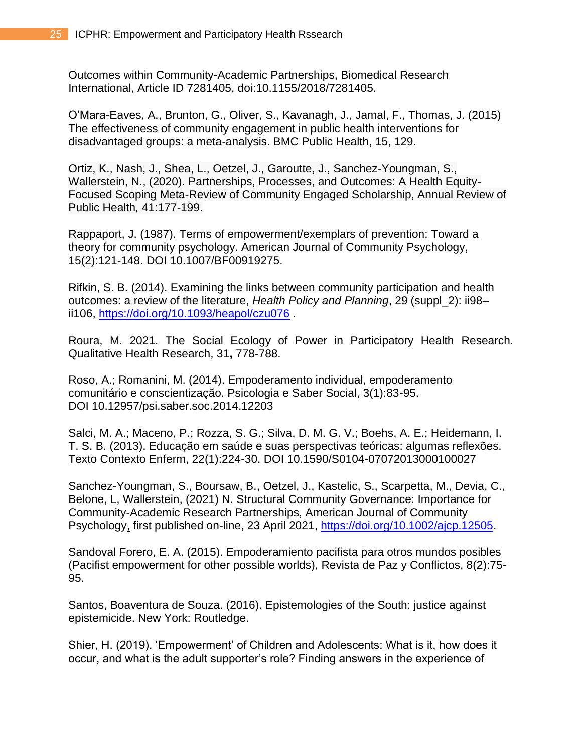Outcomes within Community-Academic Partnerships, Biomedical Research International, Article ID 7281405, doi:10.1155/2018/7281405.

O'Mara-Eaves, A., Brunton, G., Oliver, S., Kavanagh, J., Jamal, F., Thomas, J. (2015) The effectiveness of community engagement in public health interventions for disadvantaged groups: a meta-analysis. BMC Public Health, 15, 129.

Ortiz, K., Nash, J., Shea, L., Oetzel, J., Garoutte, J., Sanchez-Youngman, S., Wallerstein, N., (2020). Partnerships, Processes, and Outcomes: A Health Equity-Focused Scoping Meta-Review of Community Engaged Scholarship, Annual Review of Public Health*,* 41:177-199.

Rappaport, J. (1987). Terms of empowerment/exemplars of prevention: Toward a theory for community psychology. American Journal of Community Psychology, 15(2):121-148. DOI 10.1007/BF00919275.

Rifkin, S. B. (2014). Examining the links between community participation and health outcomes: a review of the literature, *Health Policy and Planning*, 29 (suppl\_2): ii98– ii106, <https://doi.org/10.1093/heapol/czu076> .

Roura, M. 2021. The Social Ecology of Power in Participatory Health Research. Qualitative Health Research, 31**,** 778-788.

Roso, A.; Romanini, M. (2014). Empoderamento individual, empoderamento comunitário e conscientização. Psicologia e Saber Social, 3(1):83-95. DOI 10.12957/psi.saber.soc.2014.12203

Salci, M. A.; Maceno, P.; Rozza, S. G.; Silva, D. M. G. V.; Boehs, A. E.; Heidemann, I. T. S. B. (2013). Educação em saúde e suas perspectivas teóricas: algumas reflexões. Texto Contexto Enferm, 22(1):224-30. DOI 10.1590/S0104-07072013000100027

Sanchez-Youngman, S., Boursaw, B., Oetzel, J., Kastelic, S., Scarpetta, M., Devia, C., Belone, L, Wallerstein, (2021) N. Structural Community Governance: Importance for Community-Academic Research Partnerships, American Journal of Community Psychology, first published on-line, 23 April 2021, [https://doi.org/10.1002/ajcp.12505.](https://doi.org/10.1002/ajcp.12505)

Sandoval Forero, E. A. (2015). Empoderamiento pacifista para otros mundos posibles (Pacifist empowerment for other possible worlds), Revista de Paz y Conflictos, 8(2):75- 95.

Santos, Boaventura de Souza. (2016). Epistemologies of the South: justice against epistemicide. New York: Routledge.

Shier, H. (2019). 'Empowerment' of Children and Adolescents: What is it, how does it occur, and what is the adult supporter's role? Finding answers in the experience of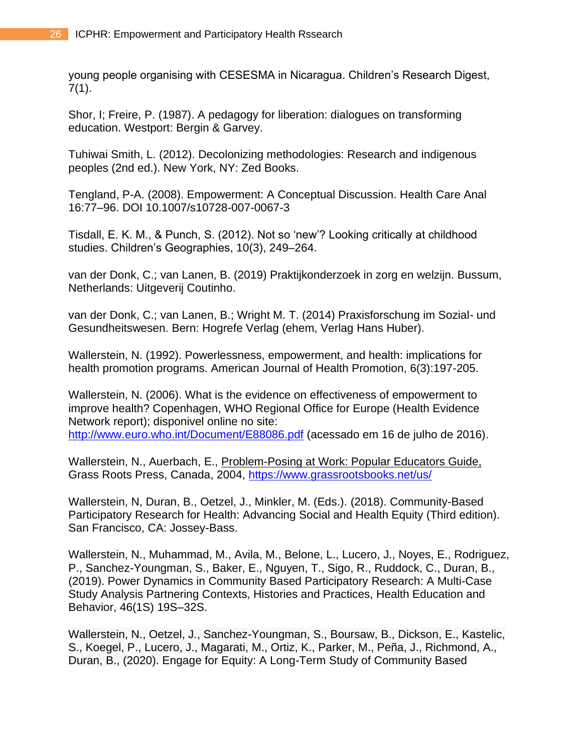young people organising with CESESMA in Nicaragua. Children's Research Digest,  $7(1)$ .

Shor, I; Freire, P. (1987). A pedagogy for liberation: dialogues on transforming education. Westport: Bergin & Garvey.

Tuhiwai Smith, L. (2012). Decolonizing methodologies: Research and indigenous peoples (2nd ed.). New York, NY: Zed Books.

Tengland, P-A. (2008). Empowerment: A Conceptual Discussion. Health Care Anal 16:77–96. DOI 10.1007/s10728-007-0067-3

Tisdall, E. K. M., & Punch, S. (2012). Not so 'new'? Looking critically at childhood studies. Children's Geographies, 10(3), 249–264.

van der Donk, C.; van Lanen, B. (2019) Praktijkonderzoek in zorg en welzijn. Bussum, Netherlands: Uitgeverij Coutinho.

van der Donk, C.; van Lanen, B.; Wright M. T. (2014) Praxisforschung im Sozial- und Gesundheitswesen. Bern: Hogrefe Verlag (ehem, Verlag Hans Huber).

Wallerstein, N. (1992). Powerlessness, empowerment, and health: implications for health promotion programs. American Journal of Health Promotion, 6(3):197-205.

Wallerstein, N. (2006). What is the evidence on effectiveness of empowerment to improve health? Copenhagen, WHO Regional Office for Europe (Health Evidence Network report); disponivel online no site:

<http://www.euro.who.int/Document/E88086.pdf> (acessado em 16 de julho de 2016).

Wallerstein, N., Auerbach, E., Problem-Posing at Work: Popular Educators Guide, Grass Roots Press, Canada, 2004,<https://www.grassrootsbooks.net/us/>

Wallerstein, N, Duran, B., Oetzel, J., Minkler, M. (Eds.). (2018). Community-Based Participatory Research for Health: Advancing Social and Health Equity (Third edition). San Francisco, CA: Jossey-Bass.

Wallerstein, N., Muhammad, M., Avila, M., Belone, L., Lucero, J., Noyes, E., Rodriguez, P., Sanchez-Youngman, S., Baker, E., Nguyen, T., Sigo, R., Ruddock, C., Duran, B., (2019). Power Dynamics in Community Based Participatory Research: A Multi-Case Study Analysis Partnering Contexts, Histories and Practices, Health Education and Behavior, 46(1S) 19S–32S.

Wallerstein, N., Oetzel, J., Sanchez-Youngman, S., Boursaw, B., Dickson, E., Kastelic, S., Koegel, P., Lucero, J., Magarati, M., Ortiz, K., Parker, M., Peña, J., Richmond, A., Duran, B., (2020). Engage for Equity: A Long-Term Study of Community Based